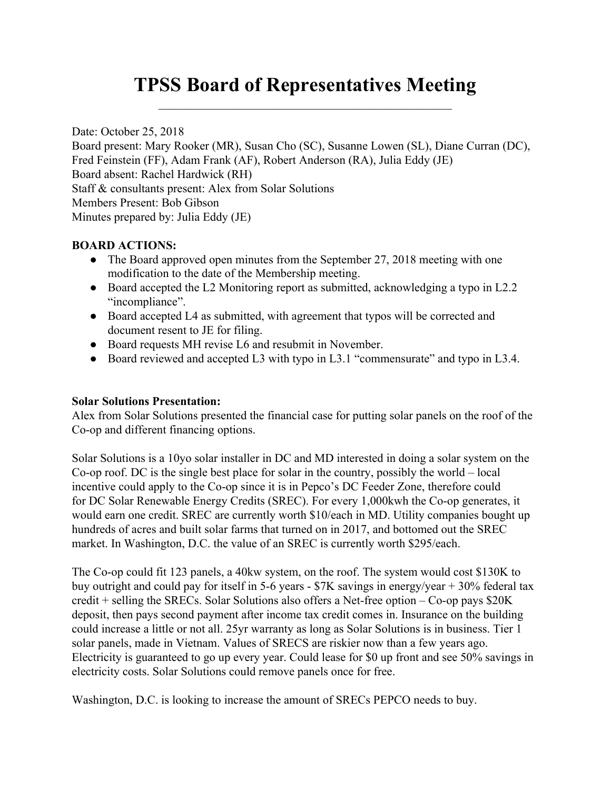# **TPSS Board of Representatives Meeting**  $\mathcal{L}_\text{max}$  and  $\mathcal{L}_\text{max}$  and  $\mathcal{L}_\text{max}$  and  $\mathcal{L}_\text{max}$  and  $\mathcal{L}_\text{max}$

Date: October 25, 2018 Board present: Mary Rooker (MR), Susan Cho (SC), Susanne Lowen (SL), Diane Curran (DC), Fred Feinstein (FF), Adam Frank (AF), Robert Anderson (RA), Julia Eddy (JE) Board absent: Rachel Hardwick (RH) Staff & consultants present: Alex from Solar Solutions Members Present: Bob Gibson Minutes prepared by: Julia Eddy (JE)

## **BOARD ACTIONS:**

- The Board approved open minutes from the September 27, 2018 meeting with one modification to the date of the Membership meeting.
- Board accepted the L2 Monitoring report as submitted, acknowledging a typo in L2.2 "incompliance".
- Board accepted L4 as submitted, with agreement that typos will be corrected and document resent to JE for filing.
- Board requests MH revise L6 and resubmit in November.
- Board reviewed and accepted L3 with typo in L3.1 "commensurate" and typo in L3.4.

## **Solar Solutions Presentation:**

Alex from Solar Solutions presented the financial case for putting solar panels on the roof of the Co-op and different financing options.

Solar Solutions is a 10yo solar installer in DC and MD interested in doing a solar system on the Co-op roof. DC is the single best place for solar in the country, possibly the world – local incentive could apply to the Co-op since it is in Pepco's DC Feeder Zone, therefore could for DC Solar Renewable Energy Credits (SREC). For every 1,000kwh the Co-op generates, it would earn one credit. SREC are currently worth \$10/each in MD. Utility companies bought up hundreds of acres and built solar farms that turned on in 2017, and bottomed out the SREC market. In Washington, D.C. the value of an SREC is currently worth \$295/each.

The Co-op could fit 123 panels, a 40kw system, on the roof. The system would cost \$130K to buy outright and could pay for itself in 5-6 years - \$7K savings in energy/year + 30% federal tax credit + selling the SRECs. Solar Solutions also offers a Net-free option – Co-op pays \$20K deposit, then pays second payment after income tax credit comes in. Insurance on the building could increase a little or not all. 25yr warranty as long as Solar Solutions is in business. Tier 1 solar panels, made in Vietnam. Values of SRECS are riskier now than a few years ago. Electricity is guaranteed to go up every year. Could lease for \$0 up front and see 50% savings in electricity costs. Solar Solutions could remove panels once for free.

Washington, D.C. is looking to increase the amount of SRECs PEPCO needs to buy.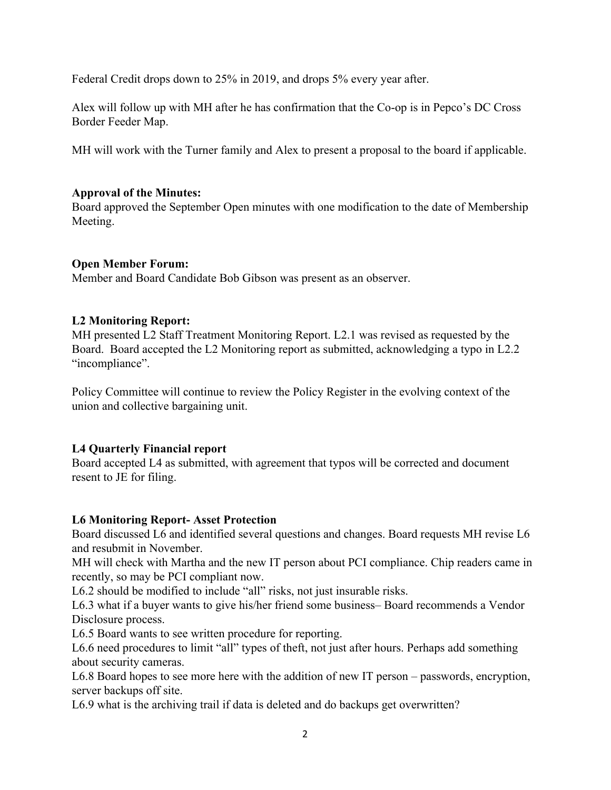Federal Credit drops down to 25% in 2019, and drops 5% every year after.

Alex will follow up with MH after he has confirmation that the Co-op is in Pepco's DC Cross Border Feeder Map.

MH will work with the Turner family and Alex to present a proposal to the board if applicable.

## **Approval of the Minutes:**

Board approved the September Open minutes with one modification to the date of Membership Meeting.

## **Open Member Forum:**

Member and Board Candidate Bob Gibson was present as an observer.

## **L2 Monitoring Report:**

MH presented L2 Staff Treatment Monitoring Report. L2.1 was revised as requested by the Board. Board accepted the L2 Monitoring report as submitted, acknowledging a typo in L2.2 "incompliance".

Policy Committee will continue to review the Policy Register in the evolving context of the union and collective bargaining unit.

## **L4 Quarterly Financial report**

Board accepted L4 as submitted, with agreement that typos will be corrected and document resent to JE for filing.

## **L6 Monitoring Report- Asset Protection**

Board discussed L6 and identified several questions and changes. Board requests MH revise L6 and resubmit in November.

MH will check with Martha and the new IT person about PCI compliance. Chip readers came in recently, so may be PCI compliant now.

L6.2 should be modified to include "all" risks, not just insurable risks.

L6.3 what if a buyer wants to give his/her friend some business– Board recommends a Vendor Disclosure process.

L6.5 Board wants to see written procedure for reporting.

L6.6 need procedures to limit "all" types of theft, not just after hours. Perhaps add something about security cameras.

L6.8 Board hopes to see more here with the addition of new IT person – passwords, encryption, server backups off site.

L6.9 what is the archiving trail if data is deleted and do backups get overwritten?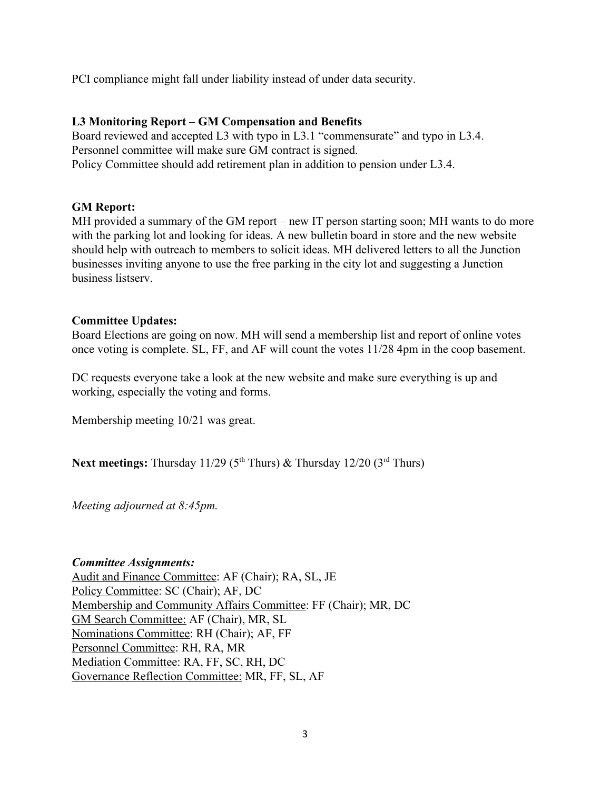PCI compliance might fall under liability instead of under data security.

### **L3 Monitoring Report – GM Compensation and Benefits**

Board reviewed and accepted L3 with typo in L3.1 "commensurate" and typo in L3.4. Personnel committee will make sure GM contract is signed. Policy Committee should add retirement plan in addition to pension under L3.4.

#### **GM Report:**

MH provided a summary of the GM report – new IT person starting soon; MH wants to do more with the parking lot and looking for ideas. A new bulletin board in store and the new website should help with outreach to members to solicit ideas. MH delivered letters to all the Junction businesses inviting anyone to use the free parking in the city lot and suggesting a Junction business listserv.

#### **Committee Updates:**

Board Elections are going on now. MH will send a membership list and report of online votes once voting is complete. SL, FF, and AF will count the votes 11/28 4pm in the coop basement.

DC requests everyone take a look at the new website and make sure everything is up and working, especially the voting and forms.

Membership meeting 10/21 was great.

Next meetings: Thursday 11/29 (5<sup>th</sup> Thurs) & Thursday 12/20 (3<sup>rd</sup> Thurs)

*Meeting adjourned at 8:45pm.*

*Committee Assignments:* Audit and Finance Committee: AF (Chair); RA, SL, JE Policy Committee: SC (Chair); AF, DC Membership and Community Affairs Committee: FF (Chair); MR, DC GM Search Committee: AF (Chair), MR, SL Nominations Committee: RH (Chair); AF, FF Personnel Committee: RH, RA, MR Mediation Committee: RA, FF, SC, RH, DC Governance Reflection Committee: MR, FF, SL, AF